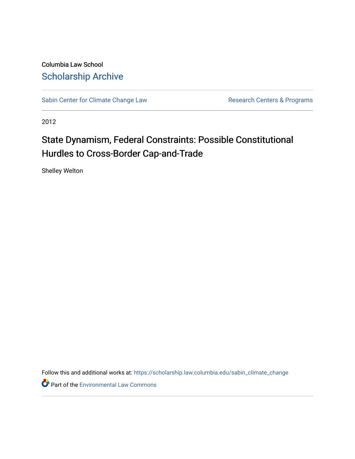Columbia Law School [Scholarship Archive](https://scholarship.law.columbia.edu/) 

[Sabin Center for Climate Change Law](https://scholarship.law.columbia.edu/sabin_climate_change) Research Centers & Programs

2012

## State Dynamism, Federal Constraints: Possible Constitutional Hurdles to Cross-Border Cap-and-Trade

Shelley Welton

Follow this and additional works at: [https://scholarship.law.columbia.edu/sabin\\_climate\\_change](https://scholarship.law.columbia.edu/sabin_climate_change?utm_source=scholarship.law.columbia.edu%2Fsabin_climate_change%2F163&utm_medium=PDF&utm_campaign=PDFCoverPages) 

Part of the [Environmental Law Commons](http://network.bepress.com/hgg/discipline/599?utm_source=scholarship.law.columbia.edu%2Fsabin_climate_change%2F163&utm_medium=PDF&utm_campaign=PDFCoverPages)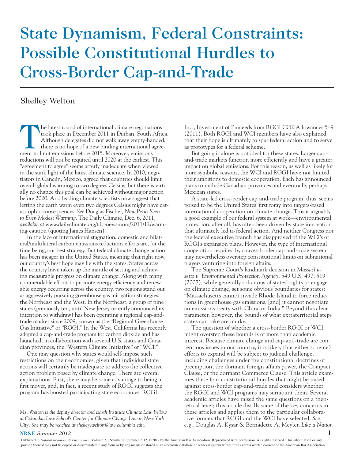# State Dynamism, Federal Constraints: Possible Constitutional Hurdles to Cross-Border Cap-and-Trade

### Shelley Welton

The latest round of international climate negotiations<br>took place in December 2011 in Durban, South Afric<br>Although delegates did not walk away empty-handed<br>there is no hope of a new binding international agree<br>ment to limi took place in December 2011 in Durban, South Africa. Although delegates did not walk away empty-handed, there is no hope of a new binding international agreement to limit emissions before 2015. Moreover, emissions reductions will not be required until 2020 at the earliest. This "agreement to agree" seems utterly inadequate when viewed in the stark light of the latest climate science. In 2010, negotiators in Cancún, Mexico, agreed that countries should limit overall global warming to two degrees Celsius, but there is virtually no chance this goal can be achieved without major action before 2020. And leading climate scientists now suggest that letting the earth warm even two degrees Celsius might have catastrophic consequences. *See* Douglas Fischer, *New Perils Seen to Even Modest Warming*, The Daily Climate, Dec. 6, 2011, *available at* www.dailyclimate.org/tdc-newsroom/2011/12/warming-caution (quoting James Hansen).

In the face of international stagnation, domestic and bilateral/multilateral carbon emissions reductions efforts are, for the time being, our best strategy. But federal climate change action has been meager in the United States, meaning that right now, our country's best hope may lie with the states. States across the country have taken up the mantle of setting and achieving measurable progress on climate change. Along with many commendable efforts to promote energy efficiency and renewable energy occurring across the country, two regions stand out as aggressively pursuing greenhouse gas mitigation strategies: the Northeast and the West. In the Northeast, a group of nine states (previously ten, until New Jersey recently announced its intention to withdraw) has been operating a regional cap-andtrade market since 2009, known as the "Regional Greenhouse Gas Initiative" or "RGGI." In the West, California has recently adopted a cap-and-trade program for carbon dioxide and has launched, in collaboration with several U.S. states and Canadian provinces, the "Western Climate Initiative" or "WCI."

One may question why states would self-impose such restrictions on their economies, given that individual state actions will certainly be inadequate to address the collective action problem posed by climate change. There are several explanations. First, there may be some advantage to being a first mover, and, in fact, a recent study of RGGI suggests the program has boosted participating state economies. RGGI,

Inc., Investment of Proceeds from RGGI CO2 Allowances 5–9 (2011). Both RGGI and WCI members have also explained that their hope is ultimately to spur federal action and to serve as prototypes for a federal scheme.

But going it alone is not ideal for these states. Larger capand-trade markets function more efficiently and have a greater impact on global emissions. For this reason, as well as likely for more symbolic reasons, the WCI and RGGI have not limited their ambitions to domestic cooperation. Each has announced plans to include Canadian provinces and eventually perhaps Mexican states.

A state-led cross-border cap-and-trade program, thus, seems poised to be the United States' first foray into targets-based international cooperation on climate change. This is arguably a good example of our federal system at work—environmental protection, after all, has often been driven by state innovation that ultimately led to federal action. And neither Congress nor the federal executive branch has disapproved of the WCI's or RGGI's expansion plans. However, the type of international cooperation required by a cross-border cap-and-trade system may nevertheless overstep constitutional limits on subnational players venturing into foreign affairs.

The Supreme Court's landmark decision in *Massachusetts v. Environmental Protection Agency*, 549 U.S. 497, 519 (2007), while generally solicitous of states' rights to engage on climate change, set some obvious boundaries for states: "Massachusetts cannot invade Rhode Island to force reductions in greenhouse gas emissions, [and] it cannot negotiate an emissions treaty with China or India." Beyond this clear parameter, however, the bounds of what extraterritorial steps states can take are murky.

The question of whether a cross-border RGGI or WCI might overstep these bounds is of more than academic interest. Because climate change and cap-and-trade are contentious issues in our country, it is likely that either scheme's efforts to expand will be subject to judicial challenge, including challenges under the constitutional doctrines of preemption, the dormant foreign affairs power, the Compact Clause, or the dormant Commerce Clause. This article examines these four constitutional hurdles that might be raised against cross-border cap-and-trade and considers whether the RGGI and WCI programs may surmount them. Several academic articles have raised the same questions on a theoretical level; this article distills some of the key concerns in these articles and applies them to the particular collaborative formats that RGGI and the WCI have selected. *See, e.g.*, Douglas A. Kysar & Bernadette A. Meyler, *Like a Nation* 

#### **NR&E** *Summer 2012* **1**

*Ms. Welton is the deputy director and Earth Institute Climate Law Fellow at Columbia Law School's Center for Climate Change Law in New York City. She may be reached at shelley.welton@law.columbia.edu.*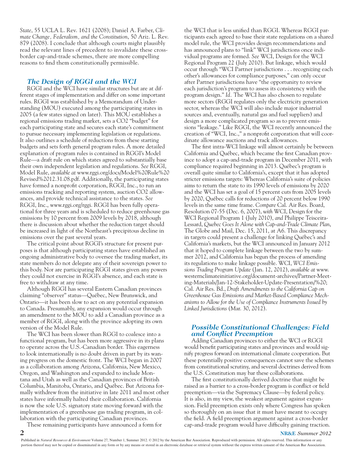*State*, 55 UCLA L. Rev. 1621 (2008); Daniel A. Farber, *Climate Change, Federalism, and the Constitution*, 50 Ariz. L. Rev. 879 (2008). I conclude that although courts might plausibly read the relevant lines of precedent to invalidate these crossborder cap-and-trade schemes, there are more compelling reasons to find them constitutionally permissible.

#### *The Design of RGGI and the WCI*

RGGI and the WCI have similar structures but are at different stages of implementation and differ on some important rules. RGGI was established by a Memorandum of Understanding (MOU) executed among the participating states in 2005 (a few states signed on later). This MOU establishes a regional emissions trading market, sets a CO2 "budget" for each participating state and secures each state's commitment to pursue necessary implementing legislation or regulations. It also outlines a schedule of reductions from these starting budgets and sets forth general program rules. A more detailed explanation of program rules is contained in RGGI's Model Rule—a draft rule on which states agreed to substantially base their own independent legislation and regulations. *See* RGGI, Model Rule, *available at* www.rggi.org/docs/Model%20Rule%20 Revised%2012.31.08.pdf. Additionally, the participating states have formed a nonprofit corporation, RGGI, Inc., to run an emissions tracking and reporting system, auction CO2 allowances, and provide technical assistance to the states. *See* RGGI, Inc., www.rggi.org/rggi. RGGI has been fully operational for three years and is scheduled to reduce greenhouse gas emissions by 10 percent from 2009 levels by 2018, although there is discussion about whether the reduction target should be increased in light of the Northeast's precipitous decline in emissions over the past several years.

The critical point about RGGI's structure for present purposes is that although participating states have established an ongoing administrative body to oversee the trading market, its state members do not delegate any of their sovereign power to this body. Nor are participating RGGI states given any powers they could not exercise in RGGI's absence, and each state is free to withdraw at any time.

Although RGGI has several Eastern Canadian provinces claiming "observer" status—Québec, New Brunswick, and Ontario—it has been slow to act on any potential expansion to Canada. Presumably, any expansion would occur through an amendment to the MOU to add a Canadian province as a member of RGGI, along with the province adopting its own version of the Model Rule.

The WCI has been slower than RGGI to coalesce into a functional program, but has been more aggressive in its plans to operate across the U.S.-Canadian border. This eagerness to look internationally is no doubt driven in part by its waning progress on the domestic front. The WCI began in 2007 as a collaboration among Arizona, California, New Mexico, Oregon, and Washington and expanded to include Montana and Utah as well as the Canadian provinces of British Columbia, Manitoba, Ontario, and Québec. But Arizona formally withdrew from the initiative in late 2011 and most other states have informally halted their collaboration. California is now the sole U.S. signatory state moving forward with the implementation of a greenhouse gas trading program, in collaboration with the participating Canadian provinces.

These remaining participants have announced a form for

the WCI that is less unified than RGGI. Whereas RGGI participants each agreed to base their state regulations on a shared model rule, the WCI provides design recommendations and has announced plans to "link" WCI jurisdictions once individual programs are formed. *See* WCI, Design for the WCI Regional Program 22 (July 2010). But linkage, which would occur through "WCI Partner jurisdictions . . . recognizing each other's allowances for compliance purposes," can only occur after Partner jurisdictions have "the opportunity to review each jurisdiction's program to assess its consistency with the program design." *Id.* The WCI has also chosen to regulate more sectors (RGGI regulates only the electricity generation sector, whereas the WCI will also include major industrial sources and, eventually, natural gas and fuel suppliers) and design a more complicated program so as to prevent emissions "leakage." Like RGGI, the WCI recently announced the creation of "WCI, Inc.," a nonprofit corporation that will coordinate allowance auctions and track allowances.

The first intra-WCI linkage will almost certainly be between California and Québec, which became the first Canadian province to adopt a cap-and-trade program in December 2011, with compliance required beginning in 2013. Québec's program is overall quite similar to California's, except that it has adopted stricter emissions targets: Whereas California's suite of policies aims to return the state to its 1990 levels of emissions by 2020 and the WCI has set a goal of 15 percent cuts from 2005 levels by 2020, Québec calls for reductions of 20 percent below 1990 levels in the same time frame. *Compare* Cal. Air Res. Board, Resolution 07-55 (Dec. 6, 2007), *with* WCI, Design for the WCI Regional Program 1 (July 2010), *and* Philippe Teisceira-Lessard, *Quebec Goes It Alone with Cap-and-Trade Climate Plan*, The Globe and Mail, Dec. 15, 2011, at A6. This discrepancy in targets could present a challenge for linking Québec's and California's markets, but the WCI announced in January 2012 that it hoped to complete linkage between the two by summer 2012, and California has begun the process of amending its regulations to make linkage possible. WCI, *WCI Emissions Trading Program Update* (Jan. 12, 2012), *available at* www. westernclimateinitiative.org/document-archives/Partner-Meeting-Materials/Jan-12-Stakeholder-Update-Presentation/%20; Cal. Air Res. Bd., *Draft Amendments to the California Cap on Greenhouse Gas Emissions and Market-Based Compliance Mechanisms to Allow for the Use of Compliance Instruments Issued by Linked Jurisdictions* (Mar. 30, 2012).

#### *Possible Constitutional Challenges: Field and Conflict Preemption*

Adding Canadian provinces to either the WCI or RGGI would benefit participating states and provinces and would signify progress forward on international climate cooperation. But these potentially positive consequences cannot save the schemes from constitutional scrutiny, and several doctrines derived from the U.S. Constitution may bar these collaborations.

The first constitutionally derived doctrine that might be raised as a barrier to a cross-border program is conflict or field preemption—via the Supremacy Clause—by federal policy. It is also, in my view, the weakest argument against expansion. Field preemption exists only where Congress has spoken so thoroughly on an issue that it must have meant to occupy the field. A field preemption argument against a cross-border cap-and-trade program would have difficulty gaining traction.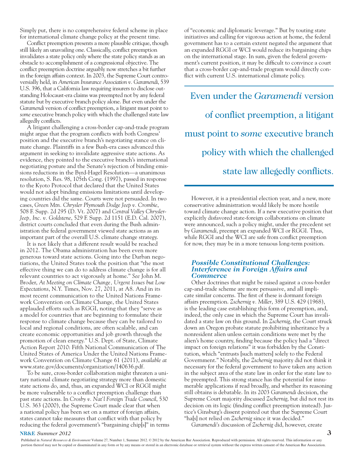Simply put, there is no comprehensive federal scheme in place for international climate change policy at the present time.

Conflict preemption presents a more plausible critique, though still likely an unavailing one. Classically, conflict preemption invalidates a state policy only where the state policy stands as an obstacle to accomplishment of a congressional objective. The conflict preemption doctrine arguably now stretches a bit further in the foreign affairs context. In 2003, the Supreme Court controversially held, in *American Insurance Association v. Garamendi*, 539 U.S. 396, that a California law requiring insurers to disclose outstanding Holocaust-era claims was preempted not by any federal statute but by executive branch policy alone. But even under the *Garamendi* version of conflict preemption, a litigant must point to *some* executive branch policy with which the challenged state law allegedly conflicts.

A litigant challenging a cross-border cap-and-trade program might argue that the program conflicts with both Congress' position and the executive branch's negotiating stance on climate change. Plaintiffs in a few Bush-era cases advanced this argument in seeking to invalidate aggressive state actions. As evidence, they pointed to the executive branch's international negotiating posture and the Senate's rejection of binding emissions reductions in the Byrd-Hagel Resolution—a unanimous resolution, S. Res. 98, 105th Cong. (1997), passed in response to the Kyoto Protocol that declared that the United States would not adopt binding emissions limitations until developing countries did the same. Courts were not persuaded. In two cases, *Green Mtn. Chrysler Plymouth Dodge Jeep v. Crombie*, 508 F. Supp. 2d 295 (D. Vt. 2007) and *Central Valley Chrysler-Jeep, Inc. v. Goldstene*, 529 F. Supp. 2d 1151 (E.D. Cal. 2007), district courts concluded that even during the Bush administration the federal government viewed state actions as an important part of the overall U.S. climate change strategy.

It is not likely that a different result would be reached in 2012. The Obama administration has been even more generous toward state actions. Going into the Durban negotiations, the United States took the position that "the most effective thing we can do to address climate change is for all relevant countries to act vigorously at home." *See* John M. Broder, *At Meeting on Climate Change, Urgent Issues but Low Expectations*, N.Y. Times, Nov. 27, 2011, at A8. And in its most recent communication to the United Nations Framework Convention on Climate Change, the United States applauded efforts such as RGGI, noting that they "serve as a model for countries that are beginning to formulate their response to climate change because they can be tailored to local and regional conditions, are often scalable, and can create economic opportunities and job growth through the promotion of clean energy." U.S. Dept. of State, Climate Action Report 2010: Fifth National Communication of The United States of America Under the United Nations Framework Convention on Climate Change 61 (2011), *available at*  www.state.gov/documents/organization/140636.pdf*.*

To be sure, cross-border collaboration might threaten a unitary national climate negotiating strategy more than domestic state actions do, and, thus, an expanded WCI or RGGI might be more vulnerable to a conflict preemption challenge than past state actions. In *Crosby v. Nat'l Foreign Trade Council*, 530 U.S. 363 (2000), the Supreme Court made clear that when a national policy has been set on a matter of foreign affairs, states cannot take measures that conflict with that policy by reducing the federal government's "bargaining chip[s]" in terms of "economic and diplomatic leverage." But by touting state initiatives and calling for vigorous action at home, the federal government has to a certain extent negated the argument that an expanded RGGI or WCI would reduce its bargaining chips on the international stage. In sum, given the federal government's current position, it may be difficult to convince a court that a cross-border cap-and-trade program would directly conflict with current U.S. international climate policy.

Even under the *Garamendi* version of conflict preemption, a litigant must point to *some* executive branch policy with which the challenged state law allegedly conflicts.

However, it is a presidential election year, and a new, more conservative administration would likely be more hostile toward climate change action. If a new executive position that explicitly disfavored state-foreign collaborations on climate were announced, such a policy might, under the precedent set by *Garamendi*, preempt an expanded WCI or RGGI. Thus, while RGGI and the WCI are safe from conflict preemption for now, they may be in a more tenuous long-term position.

#### *Possible Constitutional Challenges: Interference in Foreign Affairs and Commerce*

Other doctrines that might be raised against a cross-border cap-and-trade scheme are more persuasive, and all implicate similar concerns. The first of these is dormant foreign affairs preemption. *Zschernig v. Miller*, 389 U.S. 429 (1968), is the leading case establishing this form of preemption, and, indeed, the only case in which the Supreme Court has invalidated a state law on this ground. In *Zschernig*, the Court struck down an Oregon probate statute prohibiting inheritance by a nonresident alien unless certain conditions were met by the alien's home country, finding because the policy had a "direct impact on foreign relations" it was forbidden by the Constitution, which "entrusts [such matters] solely to the Federal Government." Notably, the *Zschernig* majority did not think it necessary for the federal government to have taken any action in the subject area of the state law in order for the state law to be preempted. This strong stance has the potential for innumerable applications if read broadly, and whether its reasoning still obtains is debatable. In its 2003 *Garamendi* decision, the Supreme Court majority discussed *Zschernig*, but did not rest its decision on its logic (finding conflict preemption instead). Justice's Ginsburg's dissent pointed out that the Supreme Court "ha[s] not relied on *Zschernig* since it was decided."

*Garamendi's* discussion of *Zschernig* did, however, create

#### **NR&E** *Summer 2012* **3**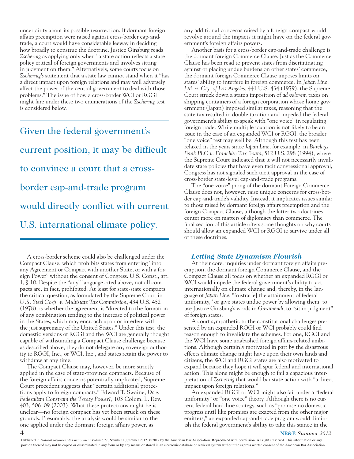uncertainty about its possible resurrection. If dormant foreign affairs preemption were raised against cross-border cap-andtrade, a court would have considerable leeway in deciding how broadly to construe the doctrine. Justice Ginsburg reads *Zschernig* as applying only when "a state action reflects a state policy critical of foreign governments and involves sitting in judgment on them." Alternatively, some courts focus on *Zschernig's* statement that a state law cannot stand when it "has a direct impact upon foreign relations and may well adversely affect the power of the central government to deal with those problems." The issue of how a cross-border WCI or RGGI might fare under these two enumerations of the *Zschernig* test is considered below.

Given the federal government's current position, it may be difficult to convince a court that a crossborder cap-and-trade program would directly conflict with current U.S. international climate policy.

A cross-border scheme could also be challenged under the Compact Clause, which prohibits states from entering "into any Agreement or Compact with another State, or with a foreign Power" without the consent of Congress. U.S. Const., art. 1, § 10. Despite the "any" language cited above, not all compacts are, in fact, prohibited. At least for state-state compacts, the critical question, as formulated by the Supreme Court in *U.S. Steel Corp. v. Multistate Tax Commission*, 434 U.S. 452 (1978), is whether the agreement is "directed to the formation of any combination tending to the increase of political power in the States, which may encroach upon or interfere with the just supremacy of the United States." Under this test, the domestic versions of RGGI and the WCI are generally thought capable of withstanding a Compact Clause challenge because, as described above, they do not delegate any sovereign authority to RGGI, Inc., or WCI, Inc., and states retain the power to withdraw at any time.

The Compact Clause may, however, be more strictly applied in the case of state-province compacts. Because of the foreign affairs concerns potentially implicated, Supreme Court precedent suggests that "certain additional protections apply to foreign compacts." Edward T. Swaine, *Does Federalism Constrain the Treaty Power?*, 103 Colum. L. Rev. 403, 506–09 (2003). What these protections might be is unclear—no foreign compact has yet been struck on these grounds. Presumably, the analysis would be similar to the one applied under the dormant foreign affairs power, as

any additional concerns raised by a foreign compact would revolve around the impacts it might have on the federal government's foreign affairs powers.

Another basis for a cross-border cap-and-trade challenge is the dormant foreign Commerce Clause. Just as the Commerce Clause has been read to prevent states from discriminating against or placing undue burdens on other states' commerce, the dormant foreign Commerce Clause imposes limits on states' ability to interfere in foreign commerce. In *Japan Line, Ltd. v. Cty. of Los Angeles*, 441 U.S. 434 (1979), the Supreme Court struck down a state's imposition of *ad valorem* taxes on shipping containers of a foreign corporation whose home government (Japan) imposed similar taxes, reasoning that the state tax resulted in double taxation and impeded the federal government's ability to speak with "one voice" in regulating foreign trade. While multiple taxation is not likely to be an issue in the case of an expanded WCI or RGGI, the broader "one voice" test may well be. Although this test has been relaxed in the years since *Japan Line*, for example, in *Barclays Bank PLC v. Franchise Tax Board*, 512 U.S. 298 (1994), where the Supreme Court indicated that it will not necessarily invalidate state policies that have even tacit congressional approval, Congress has not signaled such tacit approval in the case of cross-border state-level cap-and-trade programs.

The "one voice" prong of the dormant Foreign Commerce Clause does not, however, raise unique concerns for cross-border cap-and-trade's validity. Instead, it implicates issues similar to those raised by dormant foreign affairs preemption and the foreign Compact Clause, although the latter two doctrines center more on matters of diplomacy than commerce. The final section of this article offers some thoughts on why courts should allow an expanded WCI or RGGI to survive under all of these doctrines.

#### *Letting State Dynamism Flourish*

At their core, inquiries under dormant foreign affairs preemption, the dormant foreign Commerce Clause, and the Compact Clause all focus on whether an expanded RGGI or WCI would impede the federal government's ability to act internationally on climate change and, thereby, in the language of *Japan Line*, "frustrat[e] the attainment of federal uniformity," or give states undue power by allowing them, to use Justice Ginsburg's words in *Garamendi*, to "sit in judgment" of foreign states.

A court sympathetic to the constitutional challenges presented by an expanded RGGI or WCI probably could find reason enough to invalidate the schemes. For one, RGGI and the WCI have some unabashed foreign affairs-related ambitions. Although certainly motivated in part by the disastrous effects climate change might have upon their own lands and citizens, the WCI and RGGI states are also motivated to expand because they hope it will spur federal and international action. This alone might be enough to fail a capacious interpretation of *Zschernig* that would bar state action with "a direct impact upon foreign relations."

An expanded RGGI or WCI might also fail under a "federal uniformity" or "one voice" theory. Although there is no current federal hard-line strategy, such as "promise no domestic progress until like promises are exacted from the other major emitters," an expanded cap-and-trade program would diminish the federal government's ability to take this stance in the